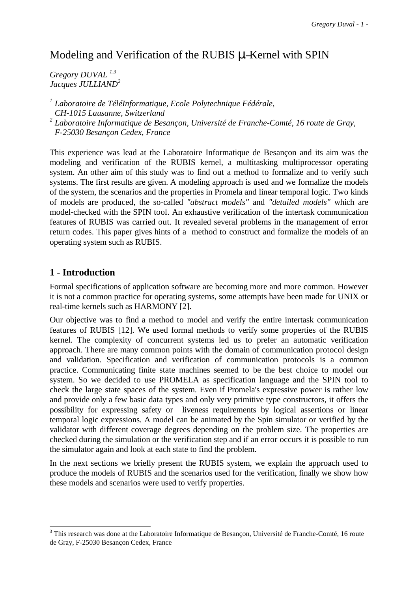# Modeling and Verification of the RUBIS µ–Kernel with SPIN

*Gregory DUVAL 1,3 Jacques JULLIAND2*

*<sup>1</sup> Laboratoire de TéléInformatique, Ecole Polytechnique Fédérale, CH-1015 Lausanne, Switzerland <sup>2</sup> Laboratoire Informatique de Besançon, Université de Franche-Comté, 16 route de Gray, F-25030 Besançon Cedex, France*

This experience was lead at the Laboratoire Informatique de Besançon and its aim was the modeling and verification of the RUBIS kernel, a multitasking multiprocessor operating system. An other aim of this study was to find out a method to formalize and to verify such systems. The first results are given. A modeling approach is used and we formalize the models of the system, the scenarios and the properties in Promela and linear temporal logic. Two kinds of models are produced, the so-called *"abstract models"* and *"detailed models"* which are model-checked with the SPIN tool. An exhaustive verification of the intertask communication features of RUBIS was carried out. It revealed several problems in the management of error return codes. This paper gives hints of a method to construct and formalize the models of an operating system such as RUBIS.

# **1 - Introduction**

 $\overline{a}$ 

Formal specifications of application software are becoming more and more common. However it is not a common practice for operating systems, some attempts have been made for UNIX or real-time kernels such as HARMONY [2].

Our objective was to find a method to model and verify the entire intertask communication features of RUBIS [12]. We used formal methods to verify some properties of the RUBIS kernel. The complexity of concurrent systems led us to prefer an automatic verification approach. There are many common points with the domain of communication protocol design and validation. Specification and verification of communication protocols is a common practice. Communicating finite state machines seemed to be the best choice to model our system. So we decided to use PROMELA as specification language and the SPIN tool to check the large state spaces of the system. Even if Promela's expressive power is rather low and provide only a few basic data types and only very primitive type constructors, it offers the possibility for expressing safety or liveness requirements by logical assertions or linear temporal logic expressions. A model can be animated by the Spin simulator or verified by the validator with different coverage degrees depending on the problem size. The properties are checked during the simulation or the verification step and if an error occurs it is possible to run the simulator again and look at each state to find the problem.

In the next sections we briefly present the RUBIS system, we explain the approach used to produce the models of RUBIS and the scenarios used for the verification, finally we show how these models and scenarios were used to verify properties.

<sup>&</sup>lt;sup>3</sup> This research was done at the Laboratoire Informatique de Besançon, Université de Franche-Comté, 16 route de Gray, F-25030 Besançon Cedex, France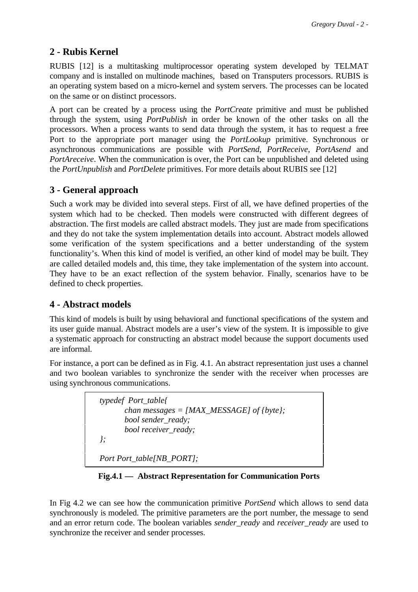# **2 - Rubis Kernel**

RUBIS [12] is a multitasking multiprocessor operating system developed by TELMAT company and is installed on multinode machines, based on Transputers processors. RUBIS is an operating system based on a micro-kernel and system servers. The processes can be located on the same or on distinct processors.

A port can be created by a process using the *PortCreate* primitive and must be published through the system, using *PortPublish* in order be known of the other tasks on all the processors. When a process wants to send data through the system, it has to request a free Port to the appropriate port manager using the *PortLookup* primitive. Synchronous or asynchronous communications are possible with *PortSend*, *PortReceive*, *PortAsend* and *PortAreceive*. When the communication is over, the Port can be unpublished and deleted using the *PortUnpublish* and *PortDelete* primitives. For more details about RUBIS see [12]

# **3 - General approach**

Such a work may be divided into several steps. First of all, we have defined properties of the system which had to be checked. Then models were constructed with different degrees of abstraction. The first models are called abstract models. They just are made from specifications and they do not take the system implementation details into account. Abstract models allowed some verification of the system specifications and a better understanding of the system functionality's. When this kind of model is verified, an other kind of model may be built. They are called detailed models and, this time, they take implementation of the system into account. They have to be an exact reflection of the system behavior. Finally, scenarios have to be defined to check properties.

# **4 - Abstract models**

This kind of models is built by using behavioral and functional specifications of the system and its user guide manual. Abstract models are a user's view of the system. It is impossible to give a systematic approach for constructing an abstract model because the support documents used are informal.

For instance, a port can be defined as in Fig. 4.1. An abstract representation just uses a channel and two boolean variables to synchronize the sender with the receiver when processes are using synchronous communications.

|         | typedef Port_table{                                            |
|---------|----------------------------------------------------------------|
|         | chan messages = [MAX_MESSAGE] of {byte};<br>bool sender_ready; |
|         | bool receiver_ready;                                           |
| $\cdot$ |                                                                |
|         | Port Port_table[NB_PORT];                                      |

**Fig.4.1 — Abstract Representation for Communication Ports**

In Fig 4.2 we can see how the communication primitive *PortSend* which allows to send data synchronously is modeled. The primitive parameters are the port number, the message to send and an error return code. The boolean variables *sender\_ready* and *receiver\_ready* are used to synchronize the receiver and sender processes.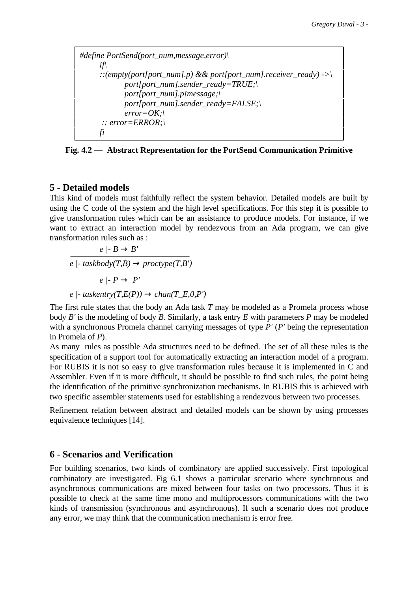*#define PortSend(port\_num,message,error)\ if\* ::(empty(port[port\_num].p) && port[port\_num].receiver\_ready) ->\  *port[port\_num].sender\_ready=TRUE;\ port[port\_num].p!message;\ port[port\_num].sender\_ready=FALSE;\ error=OK;\ :: error=ERROR;\ fi*

**Fig. 4.2 — Abstract Representation for the PortSend Communication Primitive**

### **5 - Detailed models**

This kind of models must faithfully reflect the system behavior. Detailed models are built by using the C code of the system and the high level specifications. For this step it is possible to give transformation rules which can be an assistance to produce models. For instance, if we want to extract an interaction model by rendezvous from an Ada program, we can give transformation rules such as :

$$
\frac{e \mid B \to B'}{e \mid \text{-} taskbody(T, B) \to prototype(T, B')}
$$

$$
\frac{e \mid P \to P'}{e \mid \text{-} taskentry(T, E(P)) \to chan(T\_E, 0, P')}
$$

The first rule states that the body an Ada task *T* may be modeled as a Promela process whose body *B'* is the modeling of body *B*. Similarly, a task entry *E* with parameters *P* may be modeled with a synchronous Promela channel carrying messages of type *P'* (*P'* being the representation in Promela of *P*).

As many rules as possible Ada structures need to be defined. The set of all these rules is the specification of a support tool for automatically extracting an interaction model of a program. For RUBIS it is not so easy to give transformation rules because it is implemented in C and Assembler. Even if it is more difficult, it should be possible to find such rules, the point being the identification of the primitive synchronization mechanisms. In RUBIS this is achieved with two specific assembler statements used for establishing a rendezvous between two processes.

Refinement relation between abstract and detailed models can be shown by using processes equivalence techniques [14].

#### **6 - Scenarios and Verification**

For building scenarios, two kinds of combinatory are applied successively. First topological combinatory are investigated. Fig 6.1 shows a particular scenario where synchronous and asynchronous communications are mixed between four tasks on two processors. Thus it is possible to check at the same time mono and multiprocessors communications with the two kinds of transmission (synchronous and asynchronous). If such a scenario does not produce any error, we may think that the communication mechanism is error free.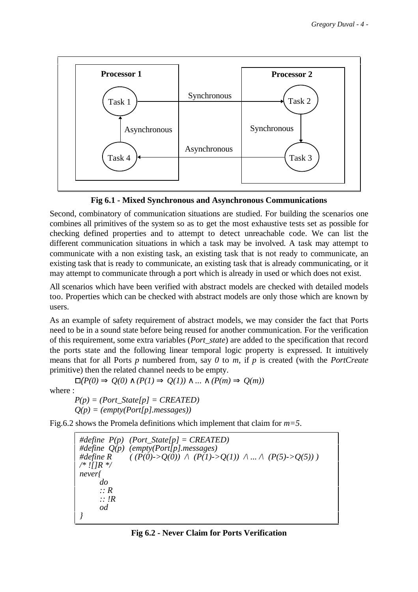

**Fig 6.1 - Mixed Synchronous and Asynchronous Communications**

Second, combinatory of communication situations are studied. For building the scenarios one combines all primitives of the system so as to get the most exhaustive tests set as possible for checking defined properties and to attempt to detect unreachable code. We can list the different communication situations in which a task may be involved. A task may attempt to communicate with a non existing task, an existing task that is not ready to communicate, an existing task that is ready to communicate, an existing task that is already communicating, or it may attempt to communicate through a port which is already in used or which does not exist.

All scenarios which have been verified with abstract models are checked with detailed models too. Properties which can be checked with abstract models are only those which are known by users.

As an example of safety requirement of abstract models, we may consider the fact that Ports need to be in a sound state before being reused for another communication. For the verification of this requirement, some extra variables (*Port\_state*) are added to the specification that record the ports state and the following linear temporal logic property is expressed. It intuitively means that for all Ports *p* numbered from, say *0* to *m*, if *p* is created (with the *PortCreate* primitive) then the related channel needs to be empty.

 $\Box$ (*P*(0)  $\Rightarrow$  *Q*(0) ∧ (*P*(1)  $\Rightarrow$  *Q*(1)) ∧ ... ∧ (*P*(*m*)  $\Rightarrow$  *Q*(*m*))

where :

 $P(p) = (Port\_State[p] = CREATED)$ *Q(p) = (empty(Port[p].messages))*

Fig.6.2 shows the Promela definitions which implement that claim for *m=5*.

*#define P(p) (Port\_State[p] = CREATED) #define*  $Q(p)$  *(empty(Port[p].messages)*<br>#define R ((P(0)->Q(0)) \ (P(1)->  $((P(0)-Q(0)) \wedge (P(1)-Q(1)) \wedge ... \wedge (P(5)-Q(5)))$ */\* ![]R \*/ never{ do :: R :: !R od }*

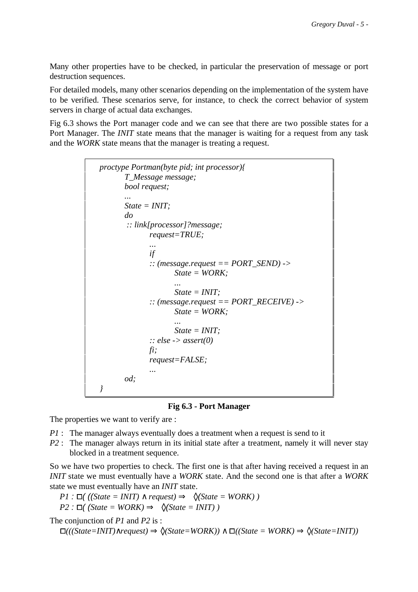Many other properties have to be checked, in particular the preservation of message or port destruction sequences.

For detailed models, many other scenarios depending on the implementation of the system have to be verified. These scenarios serve, for instance, to check the correct behavior of system servers in charge of actual data exchanges.

Fig 6.3 shows the Port manager code and we can see that there are two possible states for a Port Manager. The *INIT* state means that the manager is waiting for a request from any task and the *WORK* state means that the manager is treating a request.

```
proctype Portman(byte pid; int processor){
       T_Message message;
       bool request;
       ...
        State = INIT;
       do
        :: link[processor]?message;
              request=TRUE;
...
             if
              :: (message.request == PORT_SEND) ->
                    State = WORK;
...
                    State = INIT;
              :: (message.request == PORT_RECEIVE) ->
                    State = WORK;
...
                    State = INIT;
              :: else -> assert(0)
             fi;
              request=FALSE;
...
       od;
 }
```
**Fig 6.3 - Port Manager**

The properties we want to verify are :

*P1* : The manager always eventually does a treatment when a request is send to it

*P2* : The manager always return in its initial state after a treatment, namely it will never stay blocked in a treatment sequence.

So we have two properties to check. The first one is that after having received a request in an *INIT* state we must eventually have a *WORK* state. And the second one is that after a *WORK* state we must eventually have an *INIT* state.

*P1* :  $□$  ((*(State = INIT*) ∧ *request*)  $\Rightarrow$   $\Diamond$  (*State = WORK*) )

$$
P2: \Box \text{ } (\text{State} = \text{WORK}) \Rightarrow \Diamond (\text{State} = \text{INIT}) )
$$

The conjunction of *P1* and *P2* is :

 $□(([State=INIT)\land request) \Rightarrow \Diamond(State=WORK)) \land □((State=WORK) \Rightarrow \Diamond(State=INIT))$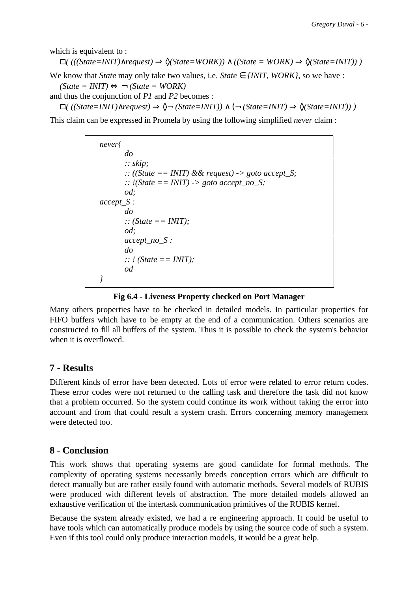which is equivalent to:

$$
\Box( ((State=INIT) \land request) \Rightarrow \Diamond (State=WORK)) \land ((State=WORK) \Rightarrow \Diamond (State=INIT)))
$$

We know that *State* may only take two values, i.e. *State*  $\in$  *{INIT, WORK}*, so we have : *(State = INIT)* ⇔ ¬ *(State = WORK)*

and thus the conjunction of *P1* and *P2* becomes :  $□$ ( ((State=INIT)∧*request*)  $\Rightarrow$   $\Diamond$  (State=INIT)) ∧ ( $\neg$  (State=INIT)  $\Rightarrow$   $\Diamond$ (State=INIT))  $\Box$ 

This claim can be expressed in Promela by using the following simplified *never* claim :

*never{ do :: skip; :: ((State == INIT) && request) -> goto accept\_S;* ::  $\ell$ (*State == INIT*) -> goto accept no *S*; *od; accept\_S : do :: (State == INIT); od; accept\_no\_S : do :: ! (State == INIT); od }*

#### **Fig 6.4 - Liveness Property checked on Port Manager**

Many others properties have to be checked in detailed models. In particular properties for FIFO buffers which have to be empty at the end of a communication. Others scenarios are constructed to fill all buffers of the system. Thus it is possible to check the system's behavior when it is overflowed.

## **7 - Results**

Different kinds of error have been detected. Lots of error were related to error return codes. These error codes were not returned to the calling task and therefore the task did not know that a problem occurred. So the system could continue its work without taking the error into account and from that could result a system crash. Errors concerning memory management were detected too.

### **8 - Conclusion**

This work shows that operating systems are good candidate for formal methods. The complexity of operating systems necessarily breeds conception errors which are difficult to detect manually but are rather easily found with automatic methods. Several models of RUBIS were produced with different levels of abstraction. The more detailed models allowed an exhaustive verification of the intertask communication primitives of the RUBIS kernel.

Because the system already existed, we had a re engineering approach. It could be useful to have tools which can automatically produce models by using the source code of such a system. Even if this tool could only produce interaction models, it would be a great help.